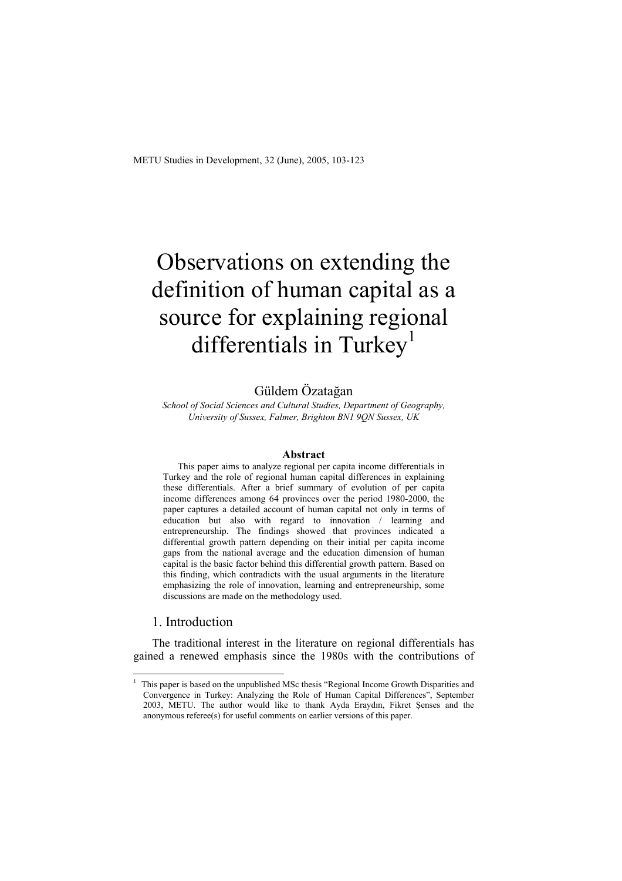# Observations on extending the definition of human capital as a source for explaining regional differentials in Turkey<sup>1</sup>

#### Güldem Özatağan

*School of Social Sciences and Cultural Studies, Department of Geography, University of Sussex, Falmer, Brighton BN1 9QN Sussex, UK* 

#### **Abstract**

This paper aims to analyze regional per capita income differentials in Turkey and the role of regional human capital differences in explaining these differentials. After a brief summary of evolution of per capita income differences among 64 provinces over the period 1980-2000, the paper captures a detailed account of human capital not only in terms of education but also with regard to innovation / learning and entrepreneurship. The findings showed that provinces indicated a differential growth pattern depending on their initial per capita income gaps from the national average and the education dimension of human capital is the basic factor behind this differential growth pattern. Based on this finding, which contradicts with the usual arguments in the literature emphasizing the role of innovation, learning and entrepreneurship, some discussions are made on the methodology used.

#### 1. Introduction

 $\overline{a}$ 1

The traditional interest in the literature on regional differentials has gained a renewed emphasis since the 1980s with the contributions of

This paper is based on the unpublished MSc thesis "Regional Income Growth Disparities and Convergence in Turkey: Analyzing the Role of Human Capital Differences", September 2003, METU. The author would like to thank Ayda Eraydın, Fikret Şenses and the anonymous referee(s) for useful comments on earlier versions of this paper.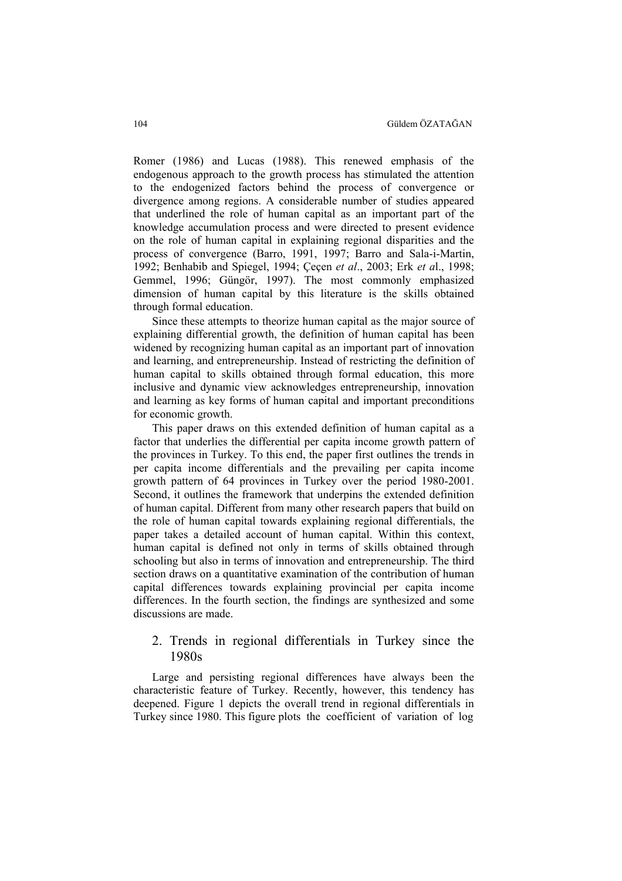Romer (1986) and Lucas (1988). This renewed emphasis of the endogenous approach to the growth process has stimulated the attention to the endogenized factors behind the process of convergence or divergence among regions. A considerable number of studies appeared that underlined the role of human capital as an important part of the knowledge accumulation process and were directed to present evidence on the role of human capital in explaining regional disparities and the process of convergence (Barro, 1991, 1997; Barro and Sala-i-Martin, 1992; Benhabib and Spiegel, 1994; Çeçen *et al*., 2003; Erk *et a*l., 1998; Gemmel, 1996; Güngör, 1997). The most commonly emphasized dimension of human capital by this literature is the skills obtained through formal education.

Since these attempts to theorize human capital as the major source of explaining differential growth, the definition of human capital has been widened by recognizing human capital as an important part of innovation and learning, and entrepreneurship. Instead of restricting the definition of human capital to skills obtained through formal education, this more inclusive and dynamic view acknowledges entrepreneurship, innovation and learning as key forms of human capital and important preconditions for economic growth.

This paper draws on this extended definition of human capital as a factor that underlies the differential per capita income growth pattern of the provinces in Turkey. To this end, the paper first outlines the trends in per capita income differentials and the prevailing per capita income growth pattern of 64 provinces in Turkey over the period 1980-2001. Second, it outlines the framework that underpins the extended definition of human capital. Different from many other research papers that build on the role of human capital towards explaining regional differentials, the paper takes a detailed account of human capital. Within this context, human capital is defined not only in terms of skills obtained through schooling but also in terms of innovation and entrepreneurship. The third section draws on a quantitative examination of the contribution of human capital differences towards explaining provincial per capita income differences. In the fourth section, the findings are synthesized and some discussions are made.

#### 2. Trends in regional differentials in Turkey since the 1980s

Large and persisting regional differences have always been the characteristic feature of Turkey. Recently, however, this tendency has deepened. Figure 1 depicts the overall trend in regional differentials in Turkey since 1980. This figure plots the coefficient of variation of log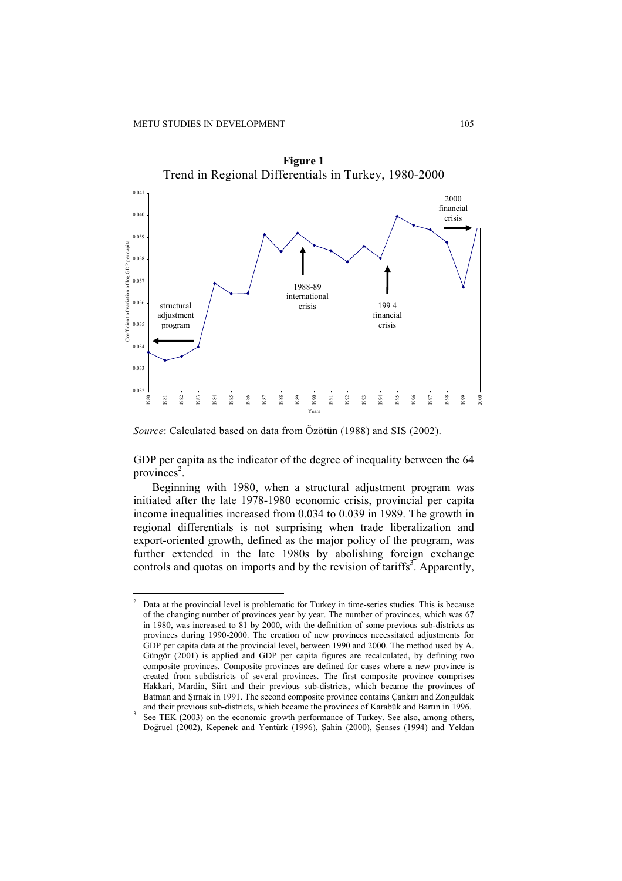

**Figure 1** 

*Source*: Calculated based on data from Özötün (1988) and SIS (2002).

GDP per capita as the indicator of the degree of inequality between the 64 provinces<sup>2</sup>.

Beginning with 1980, when a structural adjustment program was initiated after the late 1978-1980 economic crisis, provincial per capita income inequalities increased from 0.034 to 0.039 in 1989. The growth in regional differentials is not surprising when trade liberalization and export-oriented growth, defined as the major policy of the program, was further extended in the late 1980s by abolishing foreign exchange controls and quotas on imports and by the revision of tariffs<sup>3</sup>. Apparently,

 $\frac{1}{2}$  Data at the provincial level is problematic for Turkey in time-series studies. This is because of the changing number of provinces year by year. The number of provinces, which was 67 in 1980, was increased to 81 by 2000, with the definition of some previous sub-districts as provinces during 1990-2000. The creation of new provinces necessitated adjustments for GDP per capita data at the provincial level, between 1990 and 2000. The method used by A. Güngör (2001) is applied and GDP per capita figures are recalculated, by defining two composite provinces. Composite provinces are defined for cases where a new province is created from subdistricts of several provinces. The first composite province comprises Hakkari, Mardin, Siirt and their previous sub-districts, which became the provinces of Batman and Şırnak in 1991. The second composite province contains Çankırı and Zonguldak and their previous sub-districts, which became the provinces of Karabük and Bartın in 1996.

See TEK (2003) on the economic growth performance of Turkey. See also, among others, Doğruel (2002), Kepenek and Yentürk (1996), Şahin (2000), Şenses (1994) and Yeldan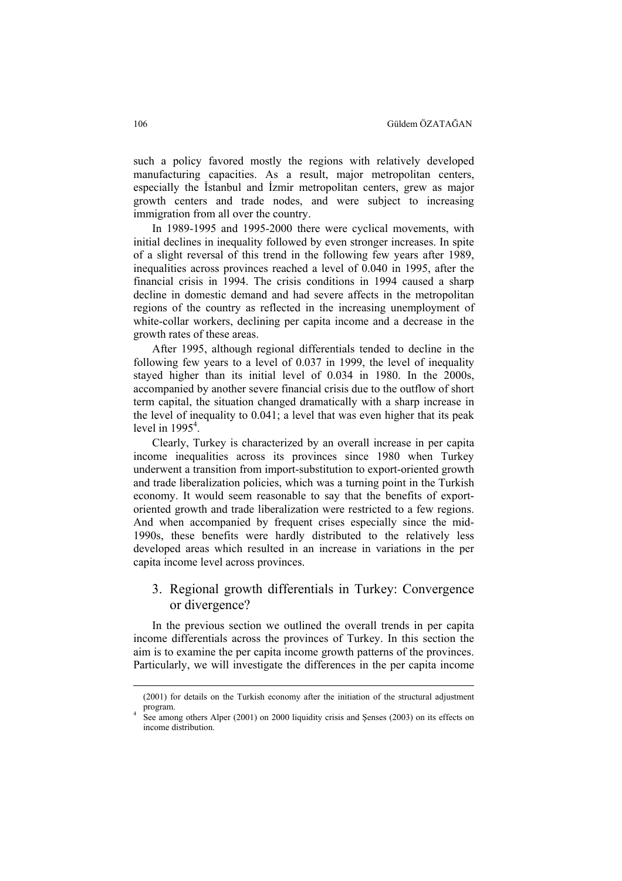such a policy favored mostly the regions with relatively developed manufacturing capacities. As a result, major metropolitan centers, especially the İstanbul and İzmir metropolitan centers, grew as major growth centers and trade nodes, and were subject to increasing immigration from all over the country.

In 1989-1995 and 1995-2000 there were cyclical movements, with initial declines in inequality followed by even stronger increases. In spite of a slight reversal of this trend in the following few years after 1989, inequalities across provinces reached a level of 0.040 in 1995, after the financial crisis in 1994. The crisis conditions in 1994 caused a sharp decline in domestic demand and had severe affects in the metropolitan regions of the country as reflected in the increasing unemployment of white-collar workers, declining per capita income and a decrease in the growth rates of these areas.

After 1995, although regional differentials tended to decline in the following few years to a level of 0.037 in 1999, the level of inequality stayed higher than its initial level of 0.034 in 1980. In the 2000s, accompanied by another severe financial crisis due to the outflow of short term capital, the situation changed dramatically with a sharp increase in the level of inequality to 0.041; a level that was even higher that its peak level in  $1995<sup>4</sup>$ .

Clearly, Turkey is characterized by an overall increase in per capita income inequalities across its provinces since 1980 when Turkey underwent a transition from import-substitution to export-oriented growth and trade liberalization policies, which was a turning point in the Turkish economy. It would seem reasonable to say that the benefits of exportoriented growth and trade liberalization were restricted to a few regions. And when accompanied by frequent crises especially since the mid-1990s, these benefits were hardly distributed to the relatively less developed areas which resulted in an increase in variations in the per capita income level across provinces.

#### 3. Regional growth differentials in Turkey: Convergence or divergence?

In the previous section we outlined the overall trends in per capita income differentials across the provinces of Turkey. In this section the aim is to examine the per capita income growth patterns of the provinces. Particularly, we will investigate the differences in the per capita income

<sup>(2001)</sup> for details on the Turkish economy after the initiation of the structural adjustment program. 4

See among others Alper (2001) on 2000 liquidity crisis and Şenses (2003) on its effects on income distribution.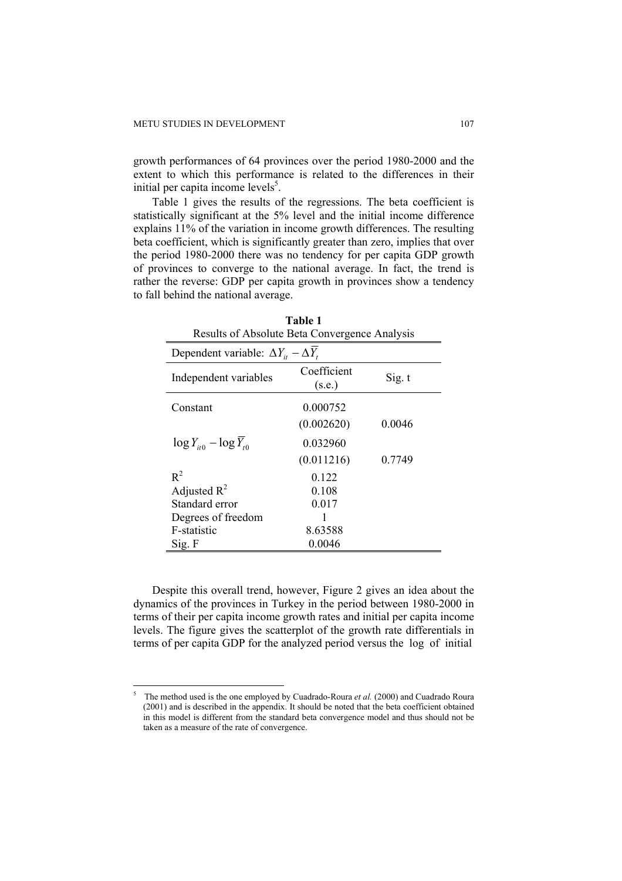growth performances of 64 provinces over the period 1980-2000 and the extent to which this performance is related to the differences in their initial per capita income levels $<sup>5</sup>$ .</sup>

Table 1 gives the results of the regressions. The beta coefficient is statistically significant at the 5% level and the initial income difference explains 11% of the variation in income growth differences. The resulting beta coefficient, which is significantly greater than zero, implies that over the period 1980-2000 there was no tendency for per capita GDP growth of provinces to converge to the national average. In fact, the trend is rather the reverse: GDP per capita growth in provinces show a tendency to fall behind the national average.

| Results of Absolute Beta Convergence Analysis      |                       |        |  |  |  |
|----------------------------------------------------|-----------------------|--------|--|--|--|
| Dependent variable: $\Delta Y_{it} - \Delta Y_{t}$ |                       |        |  |  |  |
| Independent variables                              | Coefficient<br>(s.e.) | Sig. t |  |  |  |
| Constant                                           | 0.000752              |        |  |  |  |
|                                                    | (0.002620)            | 0.0046 |  |  |  |
| $\log Y_{it0} - \log \overline{Y}_{t0}$            | 0.032960              |        |  |  |  |
|                                                    | (0.011216)            | 0.7749 |  |  |  |
| $R^2$                                              | 0.122                 |        |  |  |  |
| Adjusted $R^2$                                     | 0.108                 |        |  |  |  |
| Standard error                                     | 0.017                 |        |  |  |  |
| Degrees of freedom                                 |                       |        |  |  |  |
| F-statistic                                        | 8.63588               |        |  |  |  |
| Sig. F                                             | 0.0046                |        |  |  |  |

**Table 1**  Results of Absolute Beta Convergence Analysis

Despite this overall trend, however, Figure 2 gives an idea about the dynamics of the provinces in Turkey in the period between 1980-2000 in terms of their per capita income growth rates and initial per capita income levels. The figure gives the scatterplot of the growth rate differentials in terms of per capita GDP for the analyzed period versus the log of initial

 5 The method used is the one employed by Cuadrado-Roura *et al.* (2000) and Cuadrado Roura (2001) and is described in the appendix. It should be noted that the beta coefficient obtained in this model is different from the standard beta convergence model and thus should not be taken as a measure of the rate of convergence.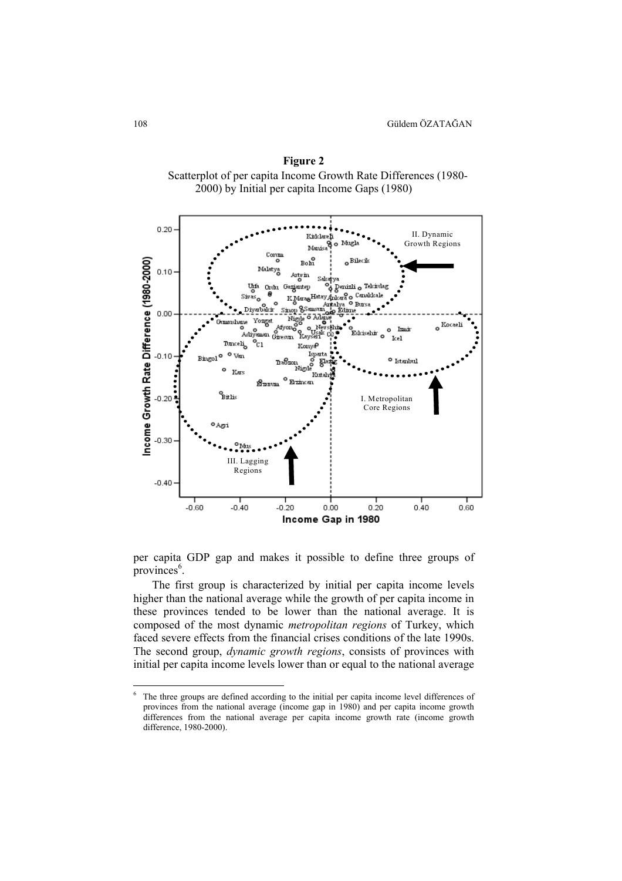

**Figure 2**  Scatterplot of per capita Income Growth Rate Differences (1980- 2000) by Initial per capita Income Gaps (1980)

per capita GDP gap and makes it possible to define three groups of provinces<sup>6</sup>.

The first group is characterized by initial per capita income levels higher than the national average while the growth of per capita income in these provinces tended to be lower than the national average. It is composed of the most dynamic *metropolitan regions* of Turkey, which faced severe effects from the financial crises conditions of the late 1990s. The second group, *dynamic growth regions*, consists of provinces with initial per capita income levels lower than or equal to the national average

 6 The three groups are defined according to the initial per capita income level differences of provinces from the national average (income gap in 1980) and per capita income growth differences from the national average per capita income growth rate (income growth difference, 1980-2000).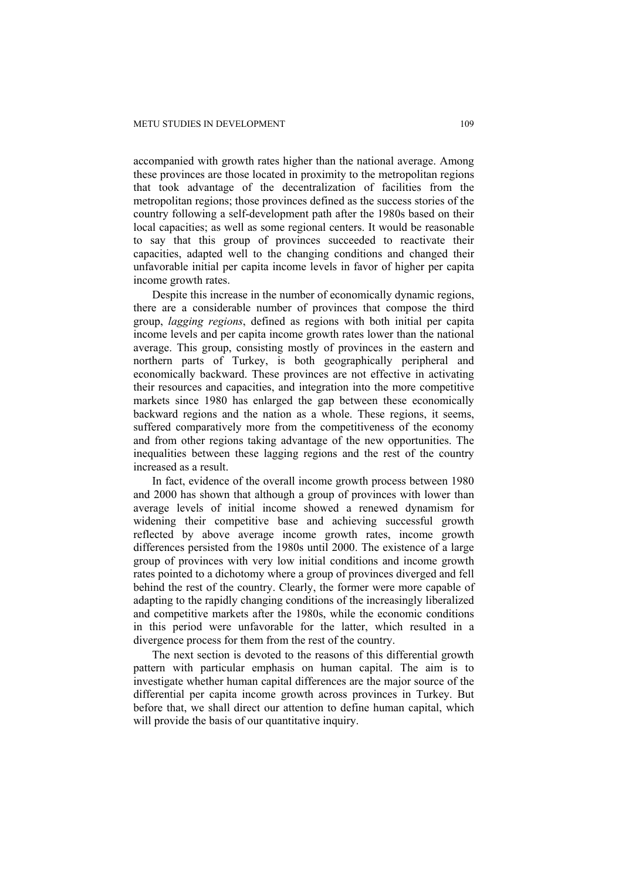accompanied with growth rates higher than the national average. Among these provinces are those located in proximity to the metropolitan regions that took advantage of the decentralization of facilities from the metropolitan regions; those provinces defined as the success stories of the country following a self-development path after the 1980s based on their local capacities; as well as some regional centers. It would be reasonable to say that this group of provinces succeeded to reactivate their capacities, adapted well to the changing conditions and changed their unfavorable initial per capita income levels in favor of higher per capita income growth rates.

Despite this increase in the number of economically dynamic regions, there are a considerable number of provinces that compose the third group, *lagging regions*, defined as regions with both initial per capita income levels and per capita income growth rates lower than the national average. This group, consisting mostly of provinces in the eastern and northern parts of Turkey, is both geographically peripheral and economically backward. These provinces are not effective in activating their resources and capacities, and integration into the more competitive markets since 1980 has enlarged the gap between these economically backward regions and the nation as a whole. These regions, it seems, suffered comparatively more from the competitiveness of the economy and from other regions taking advantage of the new opportunities. The inequalities between these lagging regions and the rest of the country increased as a result.

In fact, evidence of the overall income growth process between 1980 and 2000 has shown that although a group of provinces with lower than average levels of initial income showed a renewed dynamism for widening their competitive base and achieving successful growth reflected by above average income growth rates, income growth differences persisted from the 1980s until 2000. The existence of a large group of provinces with very low initial conditions and income growth rates pointed to a dichotomy where a group of provinces diverged and fell behind the rest of the country. Clearly, the former were more capable of adapting to the rapidly changing conditions of the increasingly liberalized and competitive markets after the 1980s, while the economic conditions in this period were unfavorable for the latter, which resulted in a divergence process for them from the rest of the country.

The next section is devoted to the reasons of this differential growth pattern with particular emphasis on human capital. The aim is to investigate whether human capital differences are the major source of the differential per capita income growth across provinces in Turkey. But before that, we shall direct our attention to define human capital, which will provide the basis of our quantitative inquiry.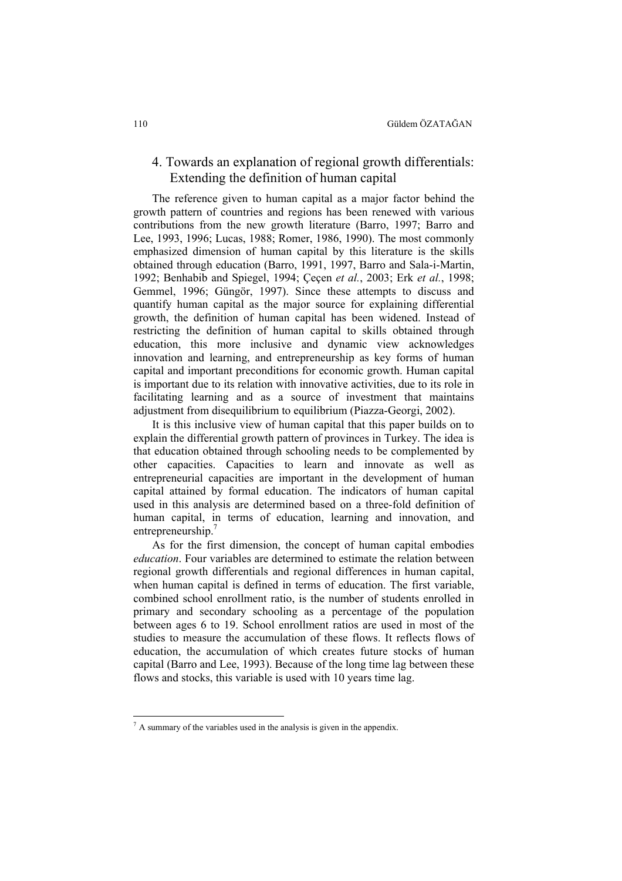#### 4. Towards an explanation of regional growth differentials: Extending the definition of human capital

The reference given to human capital as a major factor behind the growth pattern of countries and regions has been renewed with various contributions from the new growth literature (Barro, 1997; Barro and Lee, 1993, 1996; Lucas, 1988; Romer, 1986, 1990). The most commonly emphasized dimension of human capital by this literature is the skills obtained through education (Barro, 1991, 1997, Barro and Sala-i-Martin, 1992; Benhabib and Spiegel, 1994; Çeçen *et al.*, 2003; Erk *et al.*, 1998; Gemmel, 1996; Güngör, 1997). Since these attempts to discuss and quantify human capital as the major source for explaining differential growth, the definition of human capital has been widened. Instead of restricting the definition of human capital to skills obtained through education, this more inclusive and dynamic view acknowledges innovation and learning, and entrepreneurship as key forms of human capital and important preconditions for economic growth. Human capital is important due to its relation with innovative activities, due to its role in facilitating learning and as a source of investment that maintains adjustment from disequilibrium to equilibrium (Piazza-Georgi, 2002).

It is this inclusive view of human capital that this paper builds on to explain the differential growth pattern of provinces in Turkey. The idea is that education obtained through schooling needs to be complemented by other capacities. Capacities to learn and innovate as well as entrepreneurial capacities are important in the development of human capital attained by formal education. The indicators of human capital used in this analysis are determined based on a three-fold definition of human capital, in terms of education, learning and innovation, and entrepreneurship.<sup>7</sup>

As for the first dimension, the concept of human capital embodies *education*. Four variables are determined to estimate the relation between regional growth differentials and regional differences in human capital, when human capital is defined in terms of education. The first variable, combined school enrollment ratio, is the number of students enrolled in primary and secondary schooling as a percentage of the population between ages 6 to 19. School enrollment ratios are used in most of the studies to measure the accumulation of these flows. It reflects flows of education, the accumulation of which creates future stocks of human capital (Barro and Lee, 1993). Because of the long time lag between these flows and stocks, this variable is used with 10 years time lag.

 $<sup>7</sup>$  A summary of the variables used in the analysis is given in the appendix.</sup>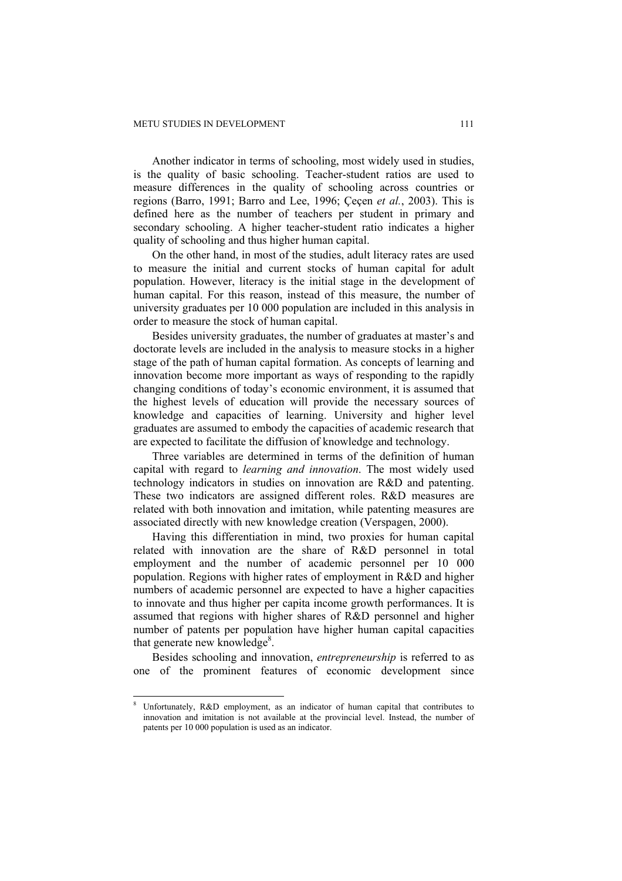Another indicator in terms of schooling, most widely used in studies, is the quality of basic schooling. Teacher-student ratios are used to measure differences in the quality of schooling across countries or regions (Barro, 1991; Barro and Lee, 1996; Çeçen *et al.*, 2003). This is defined here as the number of teachers per student in primary and secondary schooling. A higher teacher-student ratio indicates a higher quality of schooling and thus higher human capital.

On the other hand, in most of the studies, adult literacy rates are used to measure the initial and current stocks of human capital for adult population. However, literacy is the initial stage in the development of human capital. For this reason, instead of this measure, the number of university graduates per 10 000 population are included in this analysis in order to measure the stock of human capital.

Besides university graduates, the number of graduates at master's and doctorate levels are included in the analysis to measure stocks in a higher stage of the path of human capital formation. As concepts of learning and innovation become more important as ways of responding to the rapidly changing conditions of today's economic environment, it is assumed that the highest levels of education will provide the necessary sources of knowledge and capacities of learning. University and higher level graduates are assumed to embody the capacities of academic research that are expected to facilitate the diffusion of knowledge and technology.

Three variables are determined in terms of the definition of human capital with regard to *learning and innovation*. The most widely used technology indicators in studies on innovation are R&D and patenting. These two indicators are assigned different roles. R&D measures are related with both innovation and imitation, while patenting measures are associated directly with new knowledge creation (Verspagen, 2000).

Having this differentiation in mind, two proxies for human capital related with innovation are the share of R&D personnel in total employment and the number of academic personnel per 10 000 population. Regions with higher rates of employment in R&D and higher numbers of academic personnel are expected to have a higher capacities to innovate and thus higher per capita income growth performances. It is assumed that regions with higher shares of R&D personnel and higher number of patents per population have higher human capital capacities that generate new knowledge<sup>8</sup>.

Besides schooling and innovation, *entrepreneurship* is referred to as one of the prominent features of economic development since

<sup>8</sup> Unfortunately, R&D employment, as an indicator of human capital that contributes to innovation and imitation is not available at the provincial level. Instead, the number of patents per 10 000 population is used as an indicator.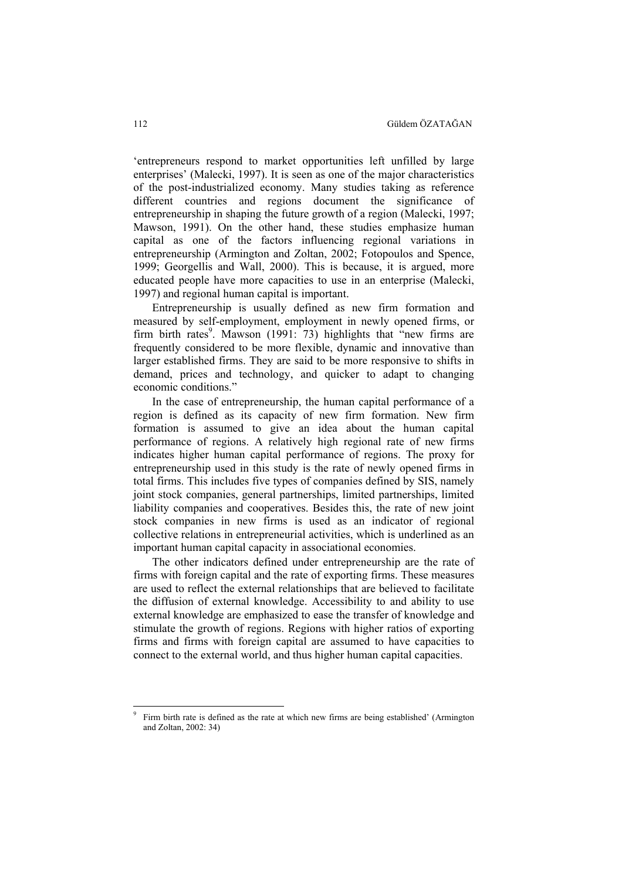'entrepreneurs respond to market opportunities left unfilled by large enterprises' (Malecki, 1997). It is seen as one of the major characteristics of the post-industrialized economy. Many studies taking as reference different countries and regions document the significance of entrepreneurship in shaping the future growth of a region (Malecki, 1997; Mawson, 1991). On the other hand, these studies emphasize human capital as one of the factors influencing regional variations in entrepreneurship (Armington and Zoltan, 2002; Fotopoulos and Spence, 1999; Georgellis and Wall, 2000). This is because, it is argued, more educated people have more capacities to use in an enterprise (Malecki, 1997) and regional human capital is important.

Entrepreneurship is usually defined as new firm formation and measured by self-employment, employment in newly opened firms, or firm birth rates<sup>9</sup>. Mawson (1991: 73) highlights that  $\cdot$ new firms are frequently considered to be more flexible, dynamic and innovative than larger established firms. They are said to be more responsive to shifts in demand, prices and technology, and quicker to adapt to changing economic conditions."

In the case of entrepreneurship, the human capital performance of a region is defined as its capacity of new firm formation. New firm formation is assumed to give an idea about the human capital performance of regions. A relatively high regional rate of new firms indicates higher human capital performance of regions. The proxy for entrepreneurship used in this study is the rate of newly opened firms in total firms. This includes five types of companies defined by SIS, namely joint stock companies, general partnerships, limited partnerships, limited liability companies and cooperatives. Besides this, the rate of new joint stock companies in new firms is used as an indicator of regional collective relations in entrepreneurial activities, which is underlined as an important human capital capacity in associational economies.

The other indicators defined under entrepreneurship are the rate of firms with foreign capital and the rate of exporting firms. These measures are used to reflect the external relationships that are believed to facilitate the diffusion of external knowledge. Accessibility to and ability to use external knowledge are emphasized to ease the transfer of knowledge and stimulate the growth of regions. Regions with higher ratios of exporting firms and firms with foreign capital are assumed to have capacities to connect to the external world, and thus higher human capital capacities.

<sup>9</sup> Firm birth rate is defined as the rate at which new firms are being established' (Armington and Zoltan, 2002: 34)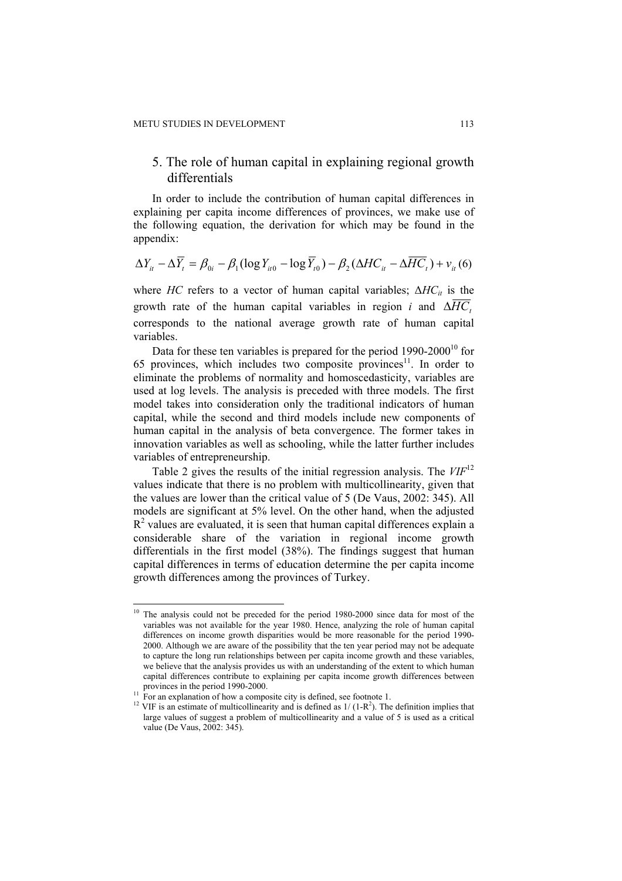### 5. The role of human capital in explaining regional growth differentials

In order to include the contribution of human capital differences in explaining per capita income differences of provinces, we make use of the following equation, the derivation for which may be found in the appendix:

$$
\Delta Y_{it} - \Delta \overline{Y}_t = \beta_{0i} - \beta_1 (\log Y_{it0} - \log \overline{Y}_{t0}) - \beta_2 (\Delta H C_{it} - \Delta \overline{HC}_t) + v_{it} (6)
$$

where *HC* refers to a vector of human capital variables; Δ*HC*<sub>it</sub> is the growth rate of the human capital variables in region *i* and  $\Delta \overline{HC}$ . corresponds to the national average growth rate of human capital variables.

Data for these ten variables is prepared for the period  $1990-2000^{10}$  for 65 provinces, which includes two composite provinces $11$ . In order to eliminate the problems of normality and homoscedasticity, variables are used at log levels. The analysis is preceded with three models. The first model takes into consideration only the traditional indicators of human capital, while the second and third models include new components of human capital in the analysis of beta convergence. The former takes in innovation variables as well as schooling, while the latter further includes variables of entrepreneurship.

Table 2 gives the results of the initial regression analysis. The *VIF*<sup>12</sup> values indicate that there is no problem with multicollinearity, given that the values are lower than the critical value of 5 (De Vaus, 2002: 345). All models are significant at 5% level. On the other hand, when the adjusted  $R<sup>2</sup>$  values are evaluated, it is seen that human capital differences explain a considerable share of the variation in regional income growth differentials in the first model (38%). The findings suggest that human capital differences in terms of education determine the per capita income growth differences among the provinces of Turkey.

<sup>&</sup>lt;sup>10</sup> The analysis could not be preceded for the period 1980-2000 since data for most of the variables was not available for the year 1980. Hence, analyzing the role of human capital differences on income growth disparities would be more reasonable for the period 1990- 2000. Although we are aware of the possibility that the ten year period may not be adequate to capture the long run relationships between per capita income growth and these variables, we believe that the analysis provides us with an understanding of the extent to which human capital differences contribute to explaining per capita income growth differences between

 $\frac{11}{11}$  For an explanation of how a composite city is defined, see footnote 1.

<sup>&</sup>lt;sup>12</sup> VIF is an estimate of multicollinearity and is defined as  $1/(1-R<sup>2</sup>)$ . The definition implies that large values of suggest a problem of multicollinearity and a value of 5 is used as a critical value (De Vaus, 2002: 345).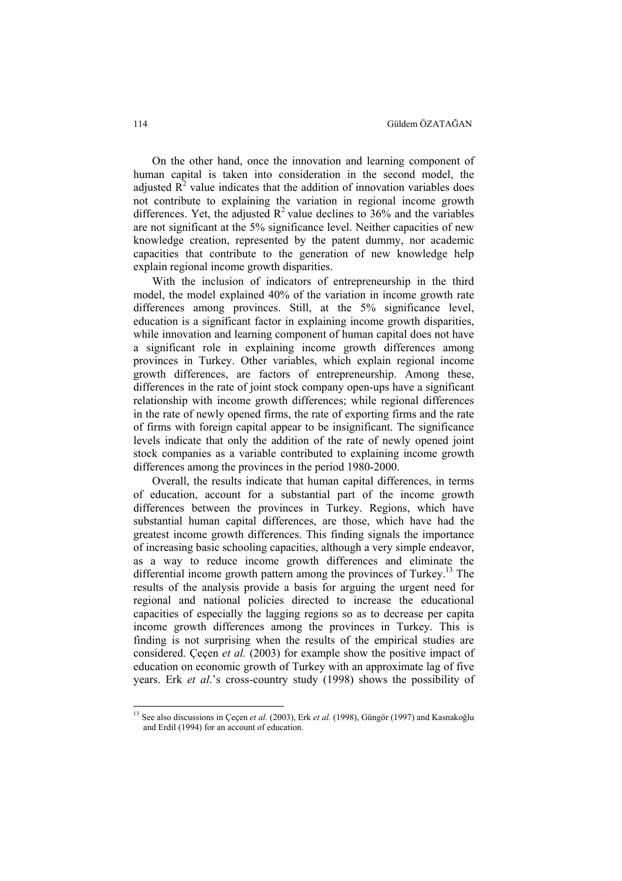On the other hand, once the innovation and learning component of human capital is taken into consideration in the second model, the adjusted  $\mathbb{R}^2$  value indicates that the addition of innovation variables does not contribute to explaining the variation in regional income growth differences. Yet, the adjusted  $\mathbb{R}^2$  value declines to 36% and the variables are not significant at the 5% significance level. Neither capacities of new knowledge creation, represented by the patent dummy, nor academic capacities that contribute to the generation of new knowledge help explain regional income growth disparities.

With the inclusion of indicators of entrepreneurship in the third model, the model explained 40% of the variation in income growth rate differences among provinces. Still, at the 5% significance level, education is a significant factor in explaining income growth disparities, while innovation and learning component of human capital does not have a significant role in explaining income growth differences among provinces in Turkey. Other variables, which explain regional income growth differences, are factors of entrepreneurship. Among these, differences in the rate of joint stock company open-ups have a significant relationship with income growth differences; while regional differences in the rate of newly opened firms, the rate of exporting firms and the rate of firms with foreign capital appear to be insignificant. The significance levels indicate that only the addition of the rate of newly opened joint stock companies as a variable contributed to explaining income growth differences among the provinces in the period 1980-2000.

Overall, the results indicate that human capital differences, in terms of education, account for a substantial part of the income growth differences between the provinces in Turkey. Regions, which have substantial human capital differences, are those, which have had the greatest income growth differences. This finding signals the importance of increasing basic schooling capacities, although a very simple endeavor, as a way to reduce income growth differences and eliminate the differential income growth pattern among the provinces of Turkey.<sup>13</sup> The results of the analysis provide a basis for arguing the urgent need for regional and national policies directed to increase the educational capacities of especially the lagging regions so as to decrease per capita income growth differences among the provinces in Turkey. This is finding is not surprising when the results of the empirical studies are considered. Çeçen *et al.* (2003) for example show the positive impact of education on economic growth of Turkey with an approximate lag of five years. Erk *et al*.'s cross-country study (1998) shows the possibility of

<sup>&</sup>lt;sup>13</sup> See also discussions in Çeçen *et al.* (2003), Erk *et al.* (1998), Güngör (1997) and Kasnakoğlu and Erdil (1994) for an account of education.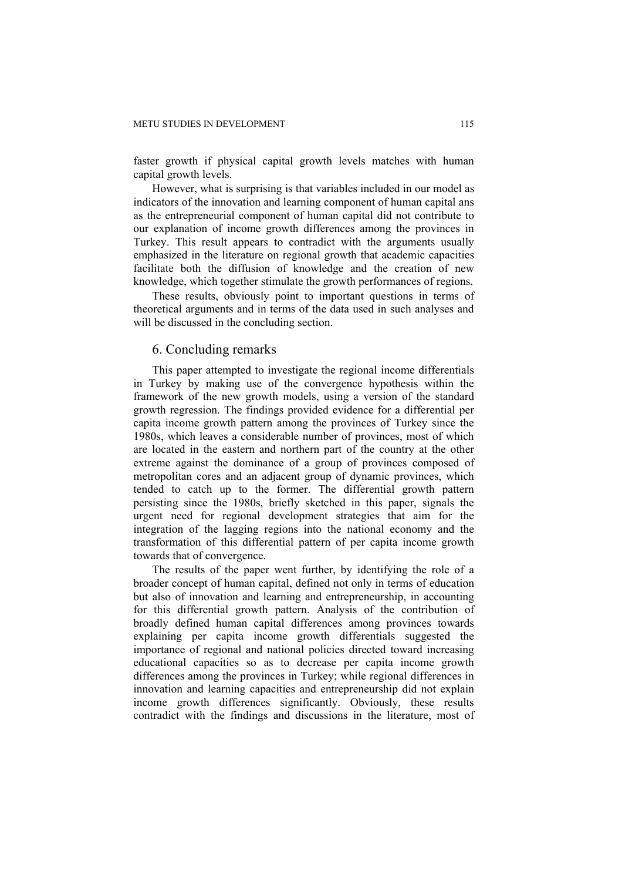faster growth if physical capital growth levels matches with human capital growth levels.

However, what is surprising is that variables included in our model as indicators of the innovation and learning component of human capital ans as the entrepreneurial component of human capital did not contribute to our explanation of income growth differences among the provinces in Turkey. This result appears to contradict with the arguments usually emphasized in the literature on regional growth that academic capacities facilitate both the diffusion of knowledge and the creation of new knowledge, which together stimulate the growth performances of regions.

These results, obviously point to important questions in terms of theoretical arguments and in terms of the data used in such analyses and will be discussed in the concluding section.

#### 6. Concluding remarks

This paper attempted to investigate the regional income differentials in Turkey by making use of the convergence hypothesis within the framework of the new growth models, using a version of the standard growth regression. The findings provided evidence for a differential per capita income growth pattern among the provinces of Turkey since the 1980s, which leaves a considerable number of provinces, most of which are located in the eastern and northern part of the country at the other extreme against the dominance of a group of provinces composed of metropolitan cores and an adjacent group of dynamic provinces, which tended to catch up to the former. The differential growth pattern persisting since the 1980s, briefly sketched in this paper, signals the urgent need for regional development strategies that aim for the integration of the lagging regions into the national economy and the transformation of this differential pattern of per capita income growth towards that of convergence.

The results of the paper went further, by identifying the role of a broader concept of human capital, defined not only in terms of education but also of innovation and learning and entrepreneurship, in accounting for this differential growth pattern. Analysis of the contribution of broadly defined human capital differences among provinces towards explaining per capita income growth differentials suggested the importance of regional and national policies directed toward increasing educational capacities so as to decrease per capita income growth differences among the provinces in Turkey; while regional differences in innovation and learning capacities and entrepreneurship did not explain income growth differences significantly. Obviously, these results contradict with the findings and discussions in the literature, most of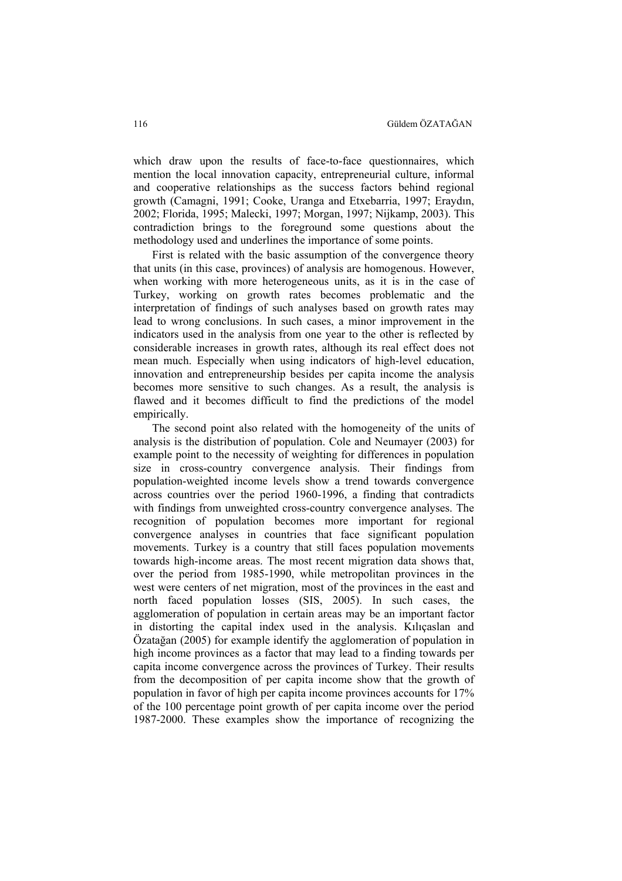which draw upon the results of face-to-face questionnaires, which mention the local innovation capacity, entrepreneurial culture, informal and cooperative relationships as the success factors behind regional growth (Camagni, 1991; Cooke, Uranga and Etxebarria, 1997; Eraydın, 2002; Florida, 1995; Malecki, 1997; Morgan, 1997; Nijkamp, 2003). This contradiction brings to the foreground some questions about the methodology used and underlines the importance of some points.

First is related with the basic assumption of the convergence theory that units (in this case, provinces) of analysis are homogenous. However, when working with more heterogeneous units, as it is in the case of Turkey, working on growth rates becomes problematic and the interpretation of findings of such analyses based on growth rates may lead to wrong conclusions. In such cases, a minor improvement in the indicators used in the analysis from one year to the other is reflected by considerable increases in growth rates, although its real effect does not mean much. Especially when using indicators of high-level education, innovation and entrepreneurship besides per capita income the analysis becomes more sensitive to such changes. As a result, the analysis is flawed and it becomes difficult to find the predictions of the model empirically.

The second point also related with the homogeneity of the units of analysis is the distribution of population. Cole and Neumayer (2003) for example point to the necessity of weighting for differences in population size in cross-country convergence analysis. Their findings from population-weighted income levels show a trend towards convergence across countries over the period 1960-1996, a finding that contradicts with findings from unweighted cross-country convergence analyses. The recognition of population becomes more important for regional convergence analyses in countries that face significant population movements. Turkey is a country that still faces population movements towards high-income areas. The most recent migration data shows that, over the period from 1985-1990, while metropolitan provinces in the west were centers of net migration, most of the provinces in the east and north faced population losses (SIS, 2005). In such cases, the agglomeration of population in certain areas may be an important factor in distorting the capital index used in the analysis. Kılıçaslan and Özatağan (2005) for example identify the agglomeration of population in high income provinces as a factor that may lead to a finding towards per capita income convergence across the provinces of Turkey. Their results from the decomposition of per capita income show that the growth of population in favor of high per capita income provinces accounts for 17% of the 100 percentage point growth of per capita income over the period 1987-2000. These examples show the importance of recognizing the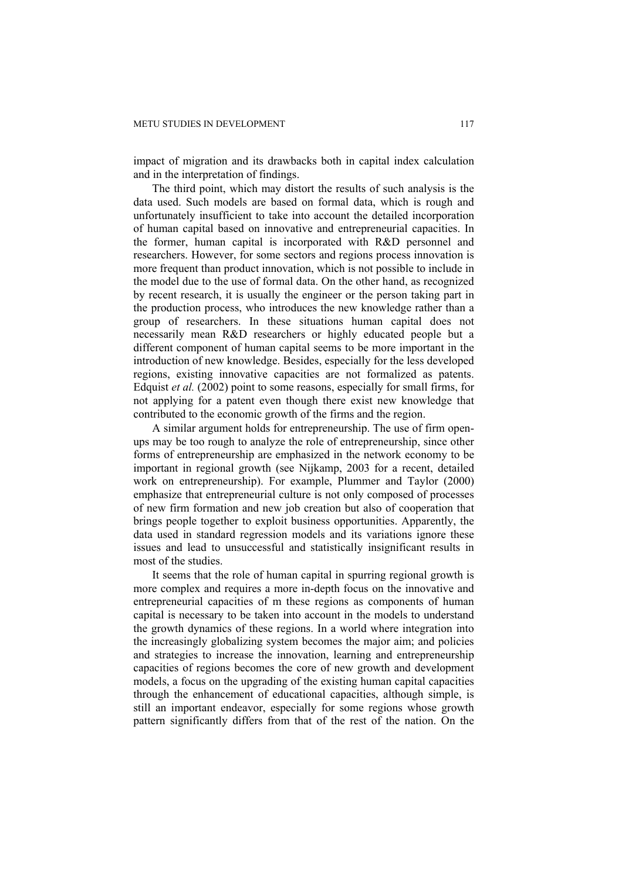impact of migration and its drawbacks both in capital index calculation and in the interpretation of findings.

The third point, which may distort the results of such analysis is the data used. Such models are based on formal data, which is rough and unfortunately insufficient to take into account the detailed incorporation of human capital based on innovative and entrepreneurial capacities. In the former, human capital is incorporated with R&D personnel and researchers. However, for some sectors and regions process innovation is more frequent than product innovation, which is not possible to include in the model due to the use of formal data. On the other hand, as recognized by recent research, it is usually the engineer or the person taking part in the production process, who introduces the new knowledge rather than a group of researchers. In these situations human capital does not necessarily mean R&D researchers or highly educated people but a different component of human capital seems to be more important in the introduction of new knowledge. Besides, especially for the less developed regions, existing innovative capacities are not formalized as patents. Edquist *et al.* (2002) point to some reasons, especially for small firms, for not applying for a patent even though there exist new knowledge that contributed to the economic growth of the firms and the region.

A similar argument holds for entrepreneurship. The use of firm openups may be too rough to analyze the role of entrepreneurship, since other forms of entrepreneurship are emphasized in the network economy to be important in regional growth (see Nijkamp, 2003 for a recent, detailed work on entrepreneurship). For example, Plummer and Taylor (2000) emphasize that entrepreneurial culture is not only composed of processes of new firm formation and new job creation but also of cooperation that brings people together to exploit business opportunities. Apparently, the data used in standard regression models and its variations ignore these issues and lead to unsuccessful and statistically insignificant results in most of the studies.

It seems that the role of human capital in spurring regional growth is more complex and requires a more in-depth focus on the innovative and entrepreneurial capacities of m these regions as components of human capital is necessary to be taken into account in the models to understand the growth dynamics of these regions. In a world where integration into the increasingly globalizing system becomes the major aim; and policies and strategies to increase the innovation, learning and entrepreneurship capacities of regions becomes the core of new growth and development models, a focus on the upgrading of the existing human capital capacities through the enhancement of educational capacities, although simple, is still an important endeavor, especially for some regions whose growth pattern significantly differs from that of the rest of the nation. On the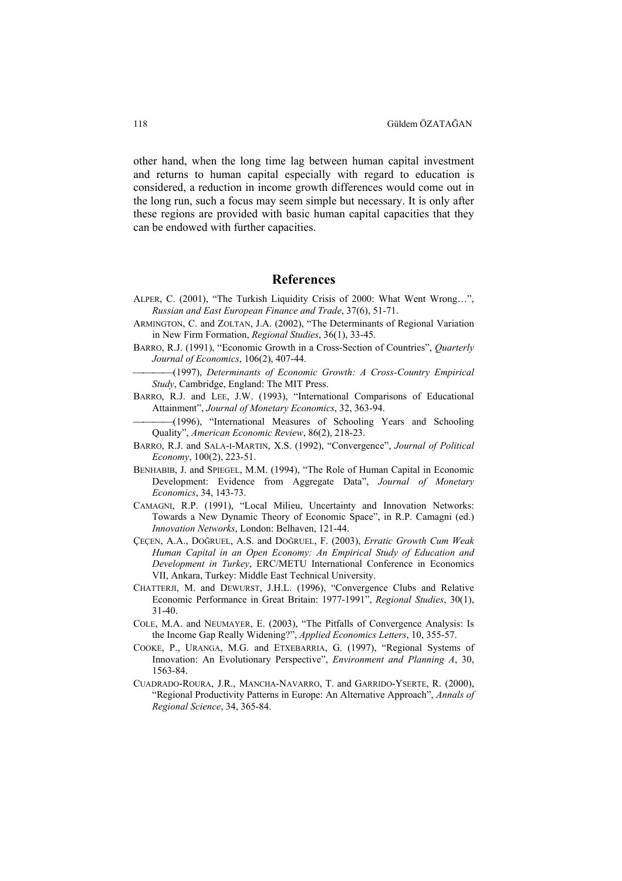other hand, when the long time lag between human capital investment and returns to human capital especially with regard to education is considered, a reduction in income growth differences would come out in the long run, such a focus may seem simple but necessary. It is only after these regions are provided with basic human capital capacities that they can be endowed with further capacities.

#### **References**

- ALPER, C. (2001), "The Turkish Liquidity Crisis of 2000: What Went Wrong…", *Russian and East European Finance and Trade*, 37(6), 51-71.
- ARMINGTON, C. and ZOLTAN, J.A. (2002), "The Determinants of Regional Variation in New Firm Formation, *Regional Studies*, 36(1), 33-45.
- BARRO, R.J. (1991), "Economic Growth in a Cross-Section of Countries", *Quarterly Journal of Economics*, 106(2), 407-44.

(1997), *Determinants of Economic Growth: A Cross-Country Empirical Study*, Cambridge, England: The MIT Press.

- BARRO, R.J. and LEE, J.W. (1993), "International Comparisons of Educational Attainment", *Journal of Monetary Economics*, 32, 363-94.
	- (1996), "International Measures of Schooling Years and Schooling Quality", *American Economic Review*, 86(2), 218-23.
- BARRO, R.J. and SALA-I-MARTIN, X.S. (1992), "Convergence", *Journal of Political Economy*, 100(2), 223-51.
- BENHABIB, J. and SPIEGEL, M.M. (1994), "The Role of Human Capital in Economic Development: Evidence from Aggregate Data", *Journal of Monetary Economics*, 34, 143-73.
- CAMAGNI, R.P. (1991), "Local Milieu, Uncertainty and Innovation Networks: Towards a New Dynamic Theory of Economic Space", in R.P. Camagni (ed.) *Innovation Networks*, London: Belhaven, 121-44.
- ÇEÇEN, A.A., DOĞRUEL, A.S. and DOĞRUEL, F. (2003), *Erratic Growth Cum Weak Human Capital in an Open Economy: An Empirical Study of Education and Development in Turkey*, ERC/METU International Conference in Economics VII, Ankara, Turkey: Middle East Technical University.
- CHATTERJI, M. and DEWURST, J.H.L. (1996), "Convergence Clubs and Relative Economic Performance in Great Britain: 1977-1991", *Regional Studies*, 30(1), 31-40.
- COLE, M.A. and NEUMAYER, E. (2003), "The Pitfalls of Convergence Analysis: Is the Income Gap Really Widening?", *Applied Economics Letters*, 10, 355-57.
- COOKE, P., URANGA, M.G. and ETXEBARRIA, G. (1997), "Regional Systems of Innovation: An Evolutionary Perspective", *Environment and Planning A*, 30, 1563-84.
- CUADRADO-ROURA, J.R., MANCHA-NAVARRO, T. and GARRIDO-YSERTE, R. (2000), "Regional Productivity Patterns in Europe: An Alternative Approach", *Annals of Regional Science*, 34, 365-84.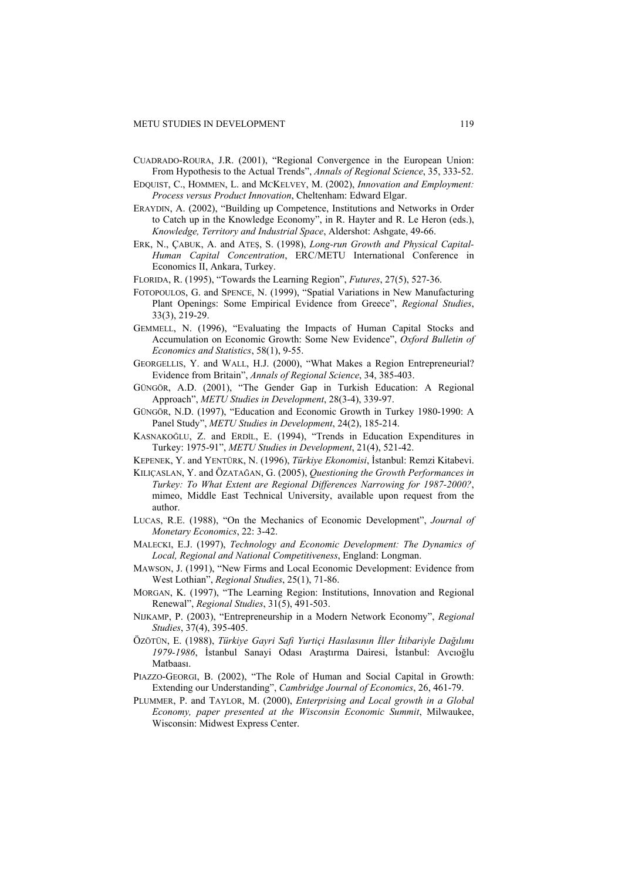- CUADRADO-ROURA, J.R. (2001), "Regional Convergence in the European Union: From Hypothesis to the Actual Trends", *Annals of Regional Science*, 35, 333-52.
- EDQUIST, C., HOMMEN, L. and MCKELVEY, M. (2002), *Innovation and Employment: Process versus Product Innovation*, Cheltenham: Edward Elgar.
- ERAYDIN, A. (2002), "Building up Competence, Institutions and Networks in Order to Catch up in the Knowledge Economy", in R. Hayter and R. Le Heron (eds.), *Knowledge, Territory and Industrial Space*, Aldershot: Ashgate, 49-66.
- ERK, N., ÇABUK, A. and ATEŞ, S. (1998), *Long-run Growth and Physical Capital-Human Capital Concentration*, ERC/METU International Conference in Economics II, Ankara, Turkey.
- FLORIDA, R. (1995), "Towards the Learning Region", *Futures*, 27(5), 527-36.
- FOTOPOULOS, G. and SPENCE, N. (1999), "Spatial Variations in New Manufacturing Plant Openings: Some Empirical Evidence from Greece", *Regional Studies*, 33(3), 219-29.
- GEMMELL, N. (1996), "Evaluating the Impacts of Human Capital Stocks and Accumulation on Economic Growth: Some New Evidence", *Oxford Bulletin of Economics and Statistics*, 58(1), 9-55.
- GEORGELLIS, Y. and WALL, H.J. (2000), "What Makes a Region Entrepreneurial? Evidence from Britain", *Annals of Regional Science*, 34, 385-403.
- GÜNGÖR, A.D. (2001), "The Gender Gap in Turkish Education: A Regional Approach", *METU Studies in Development*, 28(3-4), 339-97.
- GÜNGÖR, N.D. (1997), "Education and Economic Growth in Turkey 1980-1990: A Panel Study", *METU Studies in Development*, 24(2), 185-214.
- KASNAKOĞLU, Z. and ERDİL, E. (1994), "Trends in Education Expenditures in Turkey: 1975-91", *METU Studies in Development*, 21(4), 521-42.
- KEPENEK, Y. and YENTÜRK, N. (1996), *Türkiye Ekonomisi*, İstanbul: Remzi Kitabevi.
- KILIÇASLAN, Y. and ÖZATAĞAN, G. (2005), *Questioning the Growth Performances in Turkey: To What Extent are Regional Differences Narrowing for 1987-2000?*, mimeo, Middle East Technical University, available upon request from the author.
- LUCAS, R.E. (1988), "On the Mechanics of Economic Development", *Journal of Monetary Economics*, 22: 3-42.
- MALECKI, E.J. (1997), *Technology and Economic Development: The Dynamics of Local, Regional and National Competitiveness*, England: Longman.
- MAWSON, J. (1991), "New Firms and Local Economic Development: Evidence from West Lothian", *Regional Studies*, 25(1), 71-86.
- MORGAN, K. (1997), "The Learning Region: Institutions, Innovation and Regional Renewal", *Regional Studies*, 31(5), 491-503.
- NIJKAMP, P. (2003), "Entrepreneurship in a Modern Network Economy", *Regional Studies*, 37(4), 395-405.
- ÖZÖTÜN, E. (1988), *Türkiye Gayri Safi Yurtiçi Hasılasının İller İtibariyle Dağılımı 1979-1986*, İstanbul Sanayi Odası Araştırma Dairesi, İstanbul: Avcıoğlu Matbaası.
- PIAZZO-GEORGI, B. (2002), "The Role of Human and Social Capital in Growth: Extending our Understanding", *Cambridge Journal of Economics*, 26, 461-79.
- PLUMMER, P. and TAYLOR, M. (2000), *Enterprising and Local growth in a Global Economy, paper presented at the Wisconsin Economic Summit*, Milwaukee, Wisconsin: Midwest Express Center.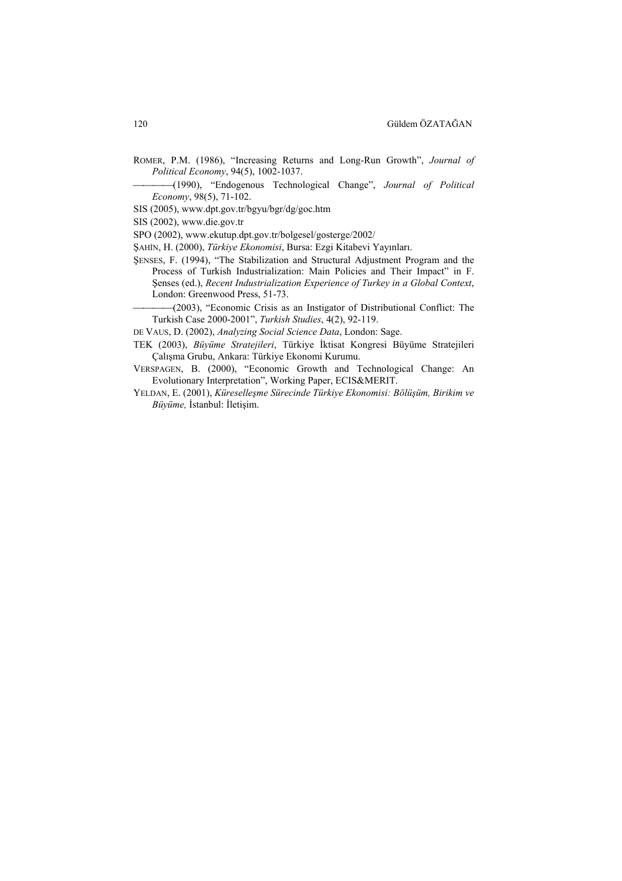ROMER, P.M. (1986), "Increasing Returns and Long-Run Growth", *Journal of Political Economy*, 94(5), 1002-1037.

(1990), "Endogenous Technological Change", *Journal of Political Economy*, 98(5), 71-102.

SIS (2005), www.dpt.gov.tr/bgyu/bgr/dg/goc.htm

SIS (2002), www.die.gov.tr

SPO (2002), www.ekutup.dpt.gov.tr/bolgesel/gosterge/2002/

ŞAHİN, H. (2000), *Türkiye Ekonomisi*, Bursa: Ezgi Kitabevi Yayınları.

ŞENSES, F. (1994), "The Stabilization and Structural Adjustment Program and the Process of Turkish Industrialization: Main Policies and Their Impact" in F. Şenses (ed.), *Recent Industrialization Experience of Turkey in a Global Context*, London: Greenwood Press, 51-73.

(2003), "Economic Crisis as an Instigator of Distributional Conflict: The Turkish Case 2000-2001", *Turkish Studies*, 4(2), 92-119.

DE VAUS, D. (2002), *Analyzing Social Science Data*, London: Sage.

TEK (2003), *Büyüme Stratejileri*, Türkiye İktisat Kongresi Büyüme Stratejileri Çalışma Grubu, Ankara: Türkiye Ekonomi Kurumu.

VERSPAGEN, B. (2000), "Economic Growth and Technological Change: An Evolutionary Interpretation", Working Paper, ECIS&MERIT.

YELDAN, E. (2001), *Küreselleşme Sürecinde Türkiye Ekonomisi: Bölüşüm, Birikim ve Büyüme,* İstanbul: İletişim.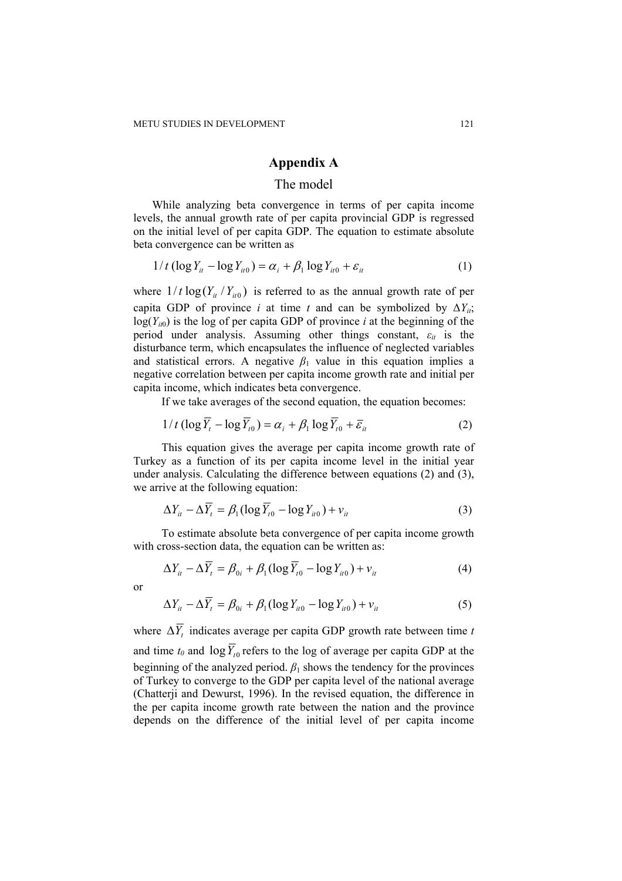#### **Appendix A**

#### The model

While analyzing beta convergence in terms of per capita income levels, the annual growth rate of per capita provincial GDP is regressed on the initial level of per capita GDP. The equation to estimate absolute beta convergence can be written as

$$
1/t \left(\log Y_{it} - \log Y_{it0}\right) = \alpha_i + \beta_1 \log Y_{it0} + \varepsilon_{it}
$$
\n<sup>(1)</sup>

where  $1/t \log(Y_i / Y_{i0})$  is referred to as the annual growth rate of per capita GDP of province *i* at time *t* and can be symbolized by  $\Delta Y_{ii}$ ;  $log(Y_{i0})$  is the log of per capita GDP of province *i* at the beginning of the period under analysis. Assuming other things constant, *εit* is the disturbance term, which encapsulates the influence of neglected variables and statistical errors. A negative  $\beta_1$  value in this equation implies a negative correlation between per capita income growth rate and initial per capita income, which indicates beta convergence.

If we take averages of the second equation, the equation becomes:

$$
1/t \left(\log \overline{Y}_t - \log \overline{Y}_t\right) = \alpha_i + \beta_1 \log \overline{Y}_t + \overline{\varepsilon}_{it}
$$
 (2)

This equation gives the average per capita income growth rate of Turkey as a function of its per capita income level in the initial year under analysis. Calculating the difference between equations (2) and (3), we arrive at the following equation:

$$
\Delta Y_{it} - \Delta \overline{Y}_t = \beta_1 (\log \overline{Y}_{t0} - \log Y_{it0}) + v_{it}
$$
\n(3)

To estimate absolute beta convergence of per capita income growth with cross-section data, the equation can be written as:

$$
\Delta Y_{it} - \Delta \overline{Y}_t = \beta_{0i} + \beta_1 (\log \overline{Y}_{t0} - \log Y_{it0}) + v_{it}
$$
\n<sup>(4)</sup>

or

$$
\Delta Y_{it} - \Delta \overline{Y}_t = \beta_{0i} + \beta_1 (\log Y_{it0} - \log Y_{it0}) + v_{it}
$$
 (5)

where  $\Delta \overline{Y}_t$  indicates average per capita GDP growth rate between time *t* and time  $t_0$  and  $\log \overline{Y}_{t_0}$  refers to the log of average per capita GDP at the beginning of the analyzed period.  $\beta_1$  shows the tendency for the provinces of Turkey to converge to the GDP per capita level of the national average (Chatterji and Dewurst, 1996). In the revised equation, the difference in the per capita income growth rate between the nation and the province depends on the difference of the initial level of per capita income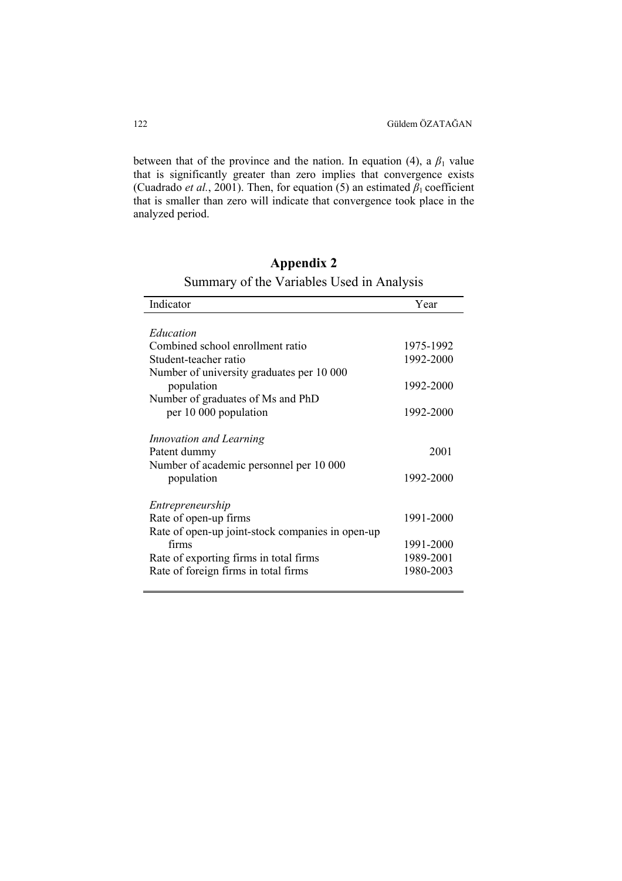between that of the province and the nation. In equation (4), a  $\beta_1$  value that is significantly greater than zero implies that convergence exists (Cuadrado *et al.*, 2001). Then, for equation (5) an estimated  $\beta_1$  coefficient that is smaller than zero will indicate that convergence took place in the analyzed period.

## **Appendix 2**

|  |  | Summary of the Variables Used in Analysis |  |  |
|--|--|-------------------------------------------|--|--|
|--|--|-------------------------------------------|--|--|

| Indicator                                        | Year      |
|--------------------------------------------------|-----------|
|                                                  |           |
| Education                                        |           |
| Combined school enrollment ratio                 | 1975-1992 |
| Student-teacher ratio                            | 1992-2000 |
| Number of university graduates per 10 000        |           |
| population                                       | 1992-2000 |
| Number of graduates of Ms and PhD                |           |
| per 10 000 population                            | 1992-2000 |
|                                                  |           |
| Innovation and Learning                          |           |
| Patent dummy                                     | 2001      |
| Number of academic personnel per 10 000          |           |
| population                                       | 1992-2000 |
|                                                  |           |
| Entrepreneurship                                 |           |
| Rate of open-up firms                            | 1991-2000 |
| Rate of open-up joint-stock companies in open-up |           |
| firms                                            | 1991-2000 |
| Rate of exporting firms in total firms           | 1989-2001 |
| Rate of foreign firms in total firms             | 1980-2003 |
|                                                  |           |

l,